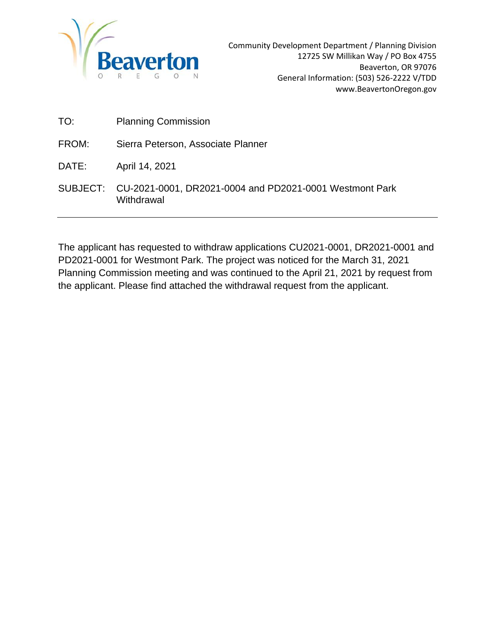

Community Development Department / Planning Division 12725 SW Millikan Way / PO Box 4755 Beaverton, OR 97076 General Information: (503) 526-2222 V/TDD www.BeavertonOregon.gov

| TO: | <b>Planning Commission</b> |
|-----|----------------------------|
|     |                            |

| FROM: | Sierra Peterson, Associate Planner |
|-------|------------------------------------|
|-------|------------------------------------|

DATE: April 14, 2021

SUBJECT: CU-2021-0001, DR2021-0004 and PD2021-0001 Westmont Park Withdrawal

The applicant has requested to withdraw applications CU2021-0001, DR2021-0001 and PD2021-0001 for Westmont Park. The project was noticed for the March 31, 2021 Planning Commission meeting and was continued to the April 21, 2021 by request from the applicant. Please find attached the withdrawal request from the applicant.